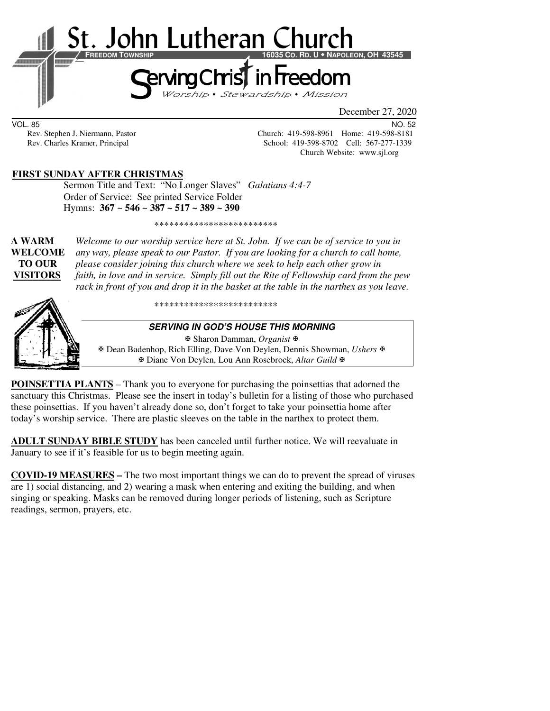

VOL. 85 NO. 52

Rev. Stephen J. Niermann, Pastor Church: 419-598-8961 Home: 419-598-8181 Rev. Charles Kramer, Principal School: 419-598-8702 Cell: 567-277-1339 Church Website: www.sjl.org

#### **FIRST SUNDAY AFTER CHRISTMAS**

 Sermon Title and Text: "No Longer Slaves" *Galatians 4:4-7*  Order of Service: See printed Service Folder Hymns: **367** ~ **546** ~ **387 ~ 517 ~ 389 ~ 390**

\*\*\*\*\*\*\*\*\*\*\*\*\*\*\*\*\*\*\*\*\*\*\*\*\*

**A WARM** *Welcome to our worship service here at St. John. If we can be of service to you in*  **WELCOME** *any way, please speak to our Pastor. If you are looking for a church to call home,* **TO OUR** *please consider joining this church where we seek to help each other grow in*  **VISITORS** *faith, in love and in service. Simply fill out the Rite of Fellowship card from the pew rack in front of you and drop it in the basket at the table in the narthex as you leave.* 



\*\*\*\*\*\*\*\*\*\*\*\*\*\*\*\*\*\*\*\*\*\*\*\*\*

#### **SERVING IN GOD'S HOUSE THIS MORNING**

Sharon Damman, *Organist*

 Dean Badenhop, Rich Elling, Dave Von Deylen, Dennis Showman, *Ushers* Diane Von Deylen, Lou Ann Rosebrock, *Altar Guild*

**POINSETTIA PLANTS** – Thank you to everyone for purchasing the poinsettias that adorned the sanctuary this Christmas. Please see the insert in today's bulletin for a listing of those who purchased these poinsettias. If you haven't already done so, don't forget to take your poinsettia home after today's worship service. There are plastic sleeves on the table in the narthex to protect them.

**ADULT SUNDAY BIBLE STUDY** has been canceled until further notice. We will reevaluate in January to see if it's feasible for us to begin meeting again.

**COVID-19 MEASURES –** The two most important things we can do to prevent the spread of viruses are 1) social distancing, and 2) wearing a mask when entering and exiting the building, and when singing or speaking. Masks can be removed during longer periods of listening, such as Scripture readings, sermon, prayers, etc.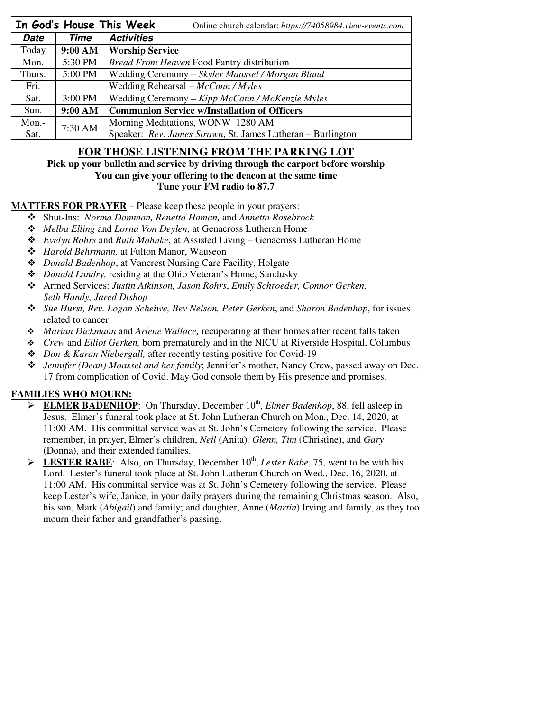|             |           | In God's House This Week<br>Online church calendar: https://74058984.view-events.com |  |  |
|-------------|-----------|--------------------------------------------------------------------------------------|--|--|
| <b>Date</b> | Time      | <b>Activities</b>                                                                    |  |  |
| Today       | 9:00 AM   | <b>Worship Service</b>                                                               |  |  |
| Mon.        | 5:30 PM   | Bread From Heaven Food Pantry distribution                                           |  |  |
| Thurs.      | 5:00 PM   | Wedding Ceremony – Skyler Maassel / Morgan Bland                                     |  |  |
| Fri.        |           | Wedding Rehearsal – $McCann / Myles$                                                 |  |  |
| Sat.        | $3:00$ PM | Wedding Ceremony - Kipp McCann / McKenzie Myles                                      |  |  |
| Sun.        | 9:00 AM   | <b>Communion Service w/Installation of Officers</b>                                  |  |  |
| Mon.-       | 7:30 AM   | Morning Meditations, WONW 1280 AM                                                    |  |  |
| Sat.        |           | Speaker: Rev. James Strawn, St. James Lutheran - Burlington                          |  |  |

## **FOR THOSE LISTENING FROM THE PARKING LOT**

## **Pick up your bulletin and service by driving through the carport before worship You can give your offering to the deacon at the same time**

**Tune your FM radio to 87.7** 

### **MATTERS FOR PRAYER** – Please keep these people in your prayers:

- Shut-Ins: *Norma Damman, Renetta Homan,* and *Annetta Rosebrock*
- *Melba Elling* and *Lorna Von Deylen*, at Genacross Lutheran Home
- *Evelyn Rohrs* and *Ruth Mahnke*, at Assisted Living Genacross Lutheran Home
- *Harold Behrmann,* at Fulton Manor, Wauseon
- *Donald Badenhop*, at Vancrest Nursing Care Facility, Holgate
- *Donald Landry,* residing at the Ohio Veteran's Home, Sandusky
- Armed Services: *Justin Atkinson, Jason Rohrs*, *Emily Schroeder, Connor Gerken, Seth Handy, Jared Dishop*
- *Sue Hurst, Rev. Logan Scheiwe, Bev Nelson, Peter Gerken*, and *Sharon Badenhop*, for issues related to cancer
- *Marian Dickmann* and *Arlene Wallace,* recuperating at their homes after recent falls taken
- *Crew* and *Elliot Gerken,* born prematurely and in the NICU at Riverside Hospital, Columbus
- *Don & Karan Niebergall,* after recently testing positive for Covid-19
- *Jennifer (Dean) Maassel and her family*; Jennifer's mother, Nancy Crew, passed away on Dec. 17 from complication of Covid. May God console them by His presence and promises.

## **FAMILIES WHO MOURN:**

- ELMER BADENHOP: On Thursday, December 10<sup>th</sup>, *Elmer Badenhop*, 88, fell asleep in Jesus. Elmer's funeral took place at St. John Lutheran Church on Mon., Dec. 14, 2020, at 11:00 AM. His committal service was at St. John's Cemetery following the service. Please remember, in prayer, Elmer's children, *Neil* (Anita)*, Glenn, Tim* (Christine), and *Gary*  (Donna), and their extended families.
- $\triangleright$  **LESTER RABE**: Also, on Thursday, December  $10^{th}$ , *Lester Rabe*, 75, went to be with his Lord. Lester's funeral took place at St. John Lutheran Church on Wed., Dec. 16, 2020, at 11:00 AM. His committal service was at St. John's Cemetery following the service. Please keep Lester's wife, Janice, in your daily prayers during the remaining Christmas season. Also, his son, Mark (*Abigail*) and family; and daughter, Anne (*Martin*) Irving and family, as they too mourn their father and grandfather's passing.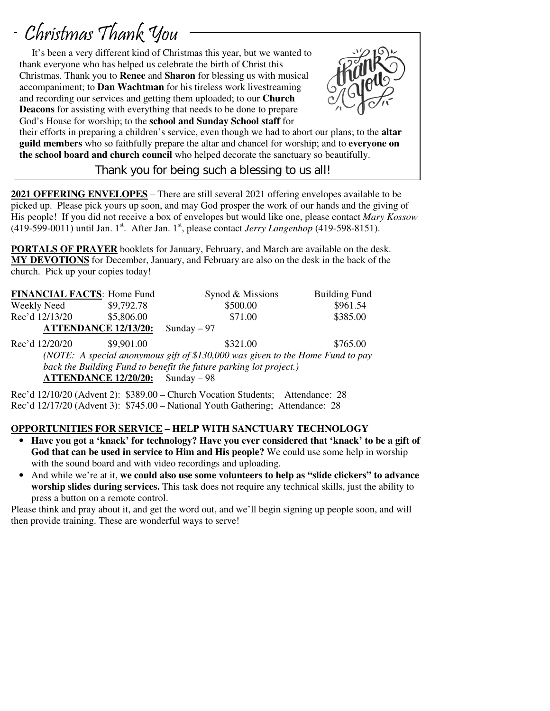# Christmas Thank You

 $\overline{1}$ 

 It's been a very different kind of Christmas this year, but we wanted to thank everyone who has helped us celebrate the birth of Christ this Christmas. Thank you to **Renee** and **Sharon** for blessing us with musical accompaniment; to **Dan Wachtman** for his tireless work livestreaming and recording our services and getting them uploaded; to our **Church Deacons** for assisting with everything that needs to be done to prepare God's House for worship; to the **school and Sunday School staff** for



their efforts in preparing a children's service, even though we had to abort our plans; to the **altar guild members** who so faithfully prepare the altar and chancel for worship; and to **everyone on the school board and church council** who helped decorate the sanctuary so beautifully.

Thank you for being such a blessing to us all!

**2021 OFFERING ENVELOPES** – There are still several 2021 offering envelopes available to be picked up. Please pick yours up soon, and may God prosper the work of our hands and the giving of His people! If you did not receive a box of envelopes but would like one, please contact *Mary Kossow* (419-599-0011) until Jan. 1<sup>st</sup>. After Jan. 1<sup>st</sup>, please contact *Jerry Langenhop* (419-598-8151).

**PORTALS OF PRAYER** booklets for January, February, and March are available on the desk. **MY DEVOTIONS** for December, January, and February are also on the desk in the back of the church. Pick up your copies today!

| <b>FINANCIAL FACTS: Home Fund</b>                                              |                             | Synod & Missions | <b>Building Fund</b> |  |  |  |
|--------------------------------------------------------------------------------|-----------------------------|------------------|----------------------|--|--|--|
| Weekly Need                                                                    | \$9,792.78                  | \$500.00         | \$961.54             |  |  |  |
| Rec'd 12/13/20                                                                 | \$5,806.00                  | \$71.00          | \$385.00             |  |  |  |
|                                                                                | <b>ATTENDANCE 12/13/20:</b> | Sunday $-97$     |                      |  |  |  |
| Rec'd 12/20/20                                                                 | \$9,901.00                  | \$321.00         | \$765.00             |  |  |  |
| (NOTE: A special anonymous gift of \$130,000 was given to the Home Fund to pay |                             |                  |                      |  |  |  |
| back the Building Fund to benefit the future parking lot project.)             |                             |                  |                      |  |  |  |
| <b>ATTENDANCE 12/20/20:</b><br>Sunday $-98$                                    |                             |                  |                      |  |  |  |

Rec'd 12/10/20 (Advent 2): \$389.00 – Church Vocation Students; Attendance: 28 Rec'd 12/17/20 (Advent 3): \$745.00 – National Youth Gathering; Attendance: 28

## **OPPORTUNITIES FOR SERVICE – HELP WITH SANCTUARY TECHNOLOGY**

- **Have you got a 'knack' for technology? Have you ever considered that 'knack' to be a gift of God that can be used in service to Him and His people?** We could use some help in worship with the sound board and with video recordings and uploading.
- And while we're at it, **we could also use some volunteers to help as "slide clickers" to advance worship slides during services.** This task does not require any technical skills, just the ability to press a button on a remote control.

Please think and pray about it, and get the word out, and we'll begin signing up people soon, and will then provide training. These are wonderful ways to serve!